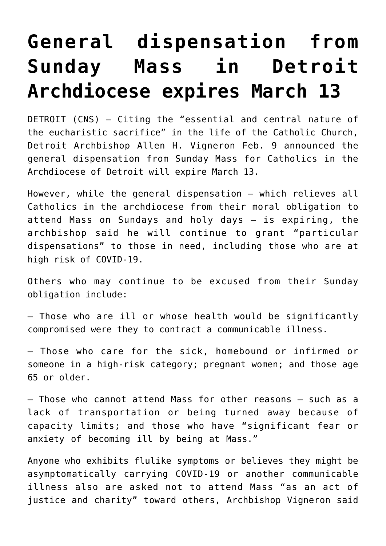## **[General dispensation from](https://www.osvnews.com/2021/02/11/general-dispensation-from-sunday-mass-in-detroit-archdiocese-expires-march-13/) [Sunday Mass in Detroit](https://www.osvnews.com/2021/02/11/general-dispensation-from-sunday-mass-in-detroit-archdiocese-expires-march-13/) [Archdiocese expires March 13](https://www.osvnews.com/2021/02/11/general-dispensation-from-sunday-mass-in-detroit-archdiocese-expires-march-13/)**

DETROIT (CNS) — Citing the "essential and central nature of the eucharistic sacrifice" in the life of the Catholic Church, Detroit Archbishop Allen H. Vigneron Feb. 9 announced the general dispensation from Sunday Mass for Catholics in the Archdiocese of Detroit will expire March 13.

However, while the general dispensation — which relieves all Catholics in the archdiocese from their moral obligation to attend Mass on Sundays and holy days — is expiring, the archbishop said he will continue to grant "particular dispensations" to those in need, including those who are at high risk of COVID-19.

Others who may continue to be excused from their Sunday obligation include:

— Those who are ill or whose health would be significantly compromised were they to contract a communicable illness.

— Those who care for the sick, homebound or infirmed or someone in a high-risk category; pregnant women; and those age 65 or older.

— Those who cannot attend Mass for other reasons — such as a lack of transportation or being turned away because of capacity limits; and those who have "significant fear or anxiety of becoming ill by being at Mass."

Anyone who exhibits flulike symptoms or believes they might be asymptomatically carrying COVID-19 or another communicable illness also are asked not to attend Mass "as an act of justice and charity" toward others, Archbishop Vigneron said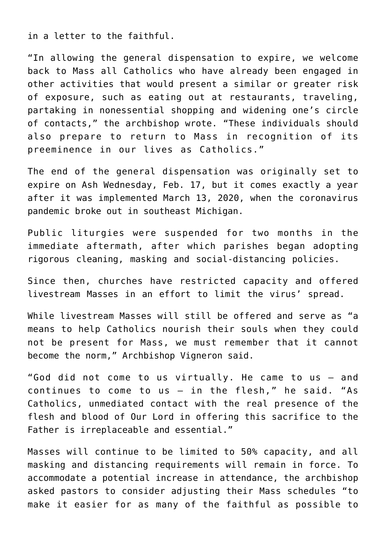in a letter to the faithful.

"In allowing the general dispensation to expire, we welcome back to Mass all Catholics who have already been engaged in other activities that would present a similar or greater risk of exposure, such as eating out at restaurants, traveling, partaking in nonessential shopping and widening one's circle of contacts," the archbishop wrote. "These individuals should also prepare to return to Mass in recognition of its preeminence in our lives as Catholics."

The end of the general dispensation was originally set to expire on Ash Wednesday, Feb. 17, but it comes exactly a year after it was implemented March 13, 2020, when the coronavirus pandemic broke out in southeast Michigan.

Public liturgies were suspended for two months in the immediate aftermath, after which parishes began adopting rigorous cleaning, masking and social-distancing policies.

Since then, churches have restricted capacity and offered livestream Masses in an effort to limit the virus' spread.

While livestream Masses will still be offered and serve as "a means to help Catholics nourish their souls when they could not be present for Mass, we must remember that it cannot become the norm," Archbishop Vigneron said.

"God did not come to us virtually. He came to us — and continues to come to us — in the flesh," he said. "As Catholics, unmediated contact with the real presence of the flesh and blood of Our Lord in offering this sacrifice to the Father is irreplaceable and essential."

Masses will continue to be limited to 50% capacity, and all masking and distancing requirements will remain in force. To accommodate a potential increase in attendance, the archbishop asked pastors to consider adjusting their Mass schedules "to make it easier for as many of the faithful as possible to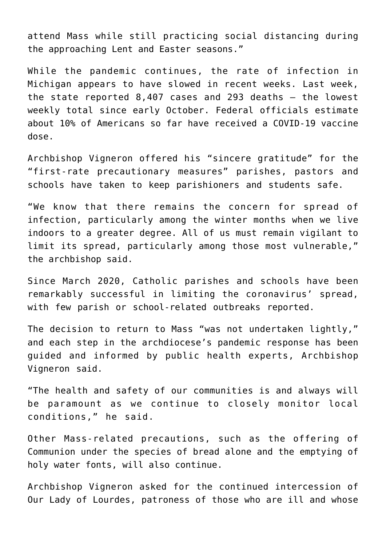attend Mass while still practicing social distancing during the approaching Lent and Easter seasons."

While the pandemic continues, the rate of infection in Michigan appears to have slowed in recent weeks. Last week, the state reported 8,407 cases and 293 deaths — the lowest weekly total since early October. Federal officials estimate about 10% of Americans so far have received a COVID-19 vaccine dose.

Archbishop Vigneron offered his "sincere gratitude" for the "first-rate precautionary measures" parishes, pastors and schools have taken to keep parishioners and students safe.

"We know that there remains the concern for spread of infection, particularly among the winter months when we live indoors to a greater degree. All of us must remain vigilant to limit its spread, particularly among those most vulnerable," the archbishop said.

Since March 2020, Catholic parishes and schools have been remarkably successful in limiting the coronavirus' spread, with few parish or school-related outbreaks reported.

The decision to return to Mass "was not undertaken lightly," and each step in the archdiocese's pandemic response has been guided and informed by public health experts, Archbishop Vigneron said.

"The health and safety of our communities is and always will be paramount as we continue to closely monitor local conditions," he said.

Other Mass-related precautions, such as the offering of Communion under the species of bread alone and the emptying of holy water fonts, will also continue.

Archbishop Vigneron asked for the continued intercession of Our Lady of Lourdes, patroness of those who are ill and whose